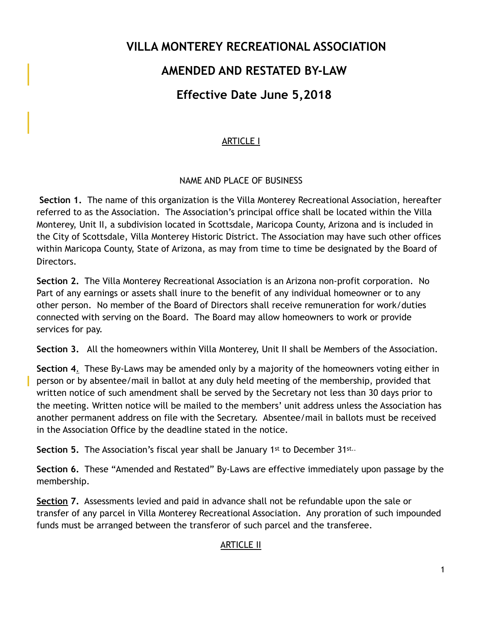# **VILLA MONTEREY RECREATIONAL ASSOCIATION AMENDED AND RESTATED BY-LAW Effective Date June 5,2018**

# ARTICLE I

# NAME AND PLACE OF BUSINESS

**Section 1.** The name of this organization is the Villa Monterey Recreational Association, hereafter referred to as the Association. The Association's principal office shall be located within the Villa Monterey, Unit II, a subdivision located in Scottsdale, Maricopa County, Arizona and is included in the City of Scottsdale, Villa Monterey Historic District. The Association may have such other offices within Maricopa County, State of Arizona, as may from time to time be designated by the Board of Directors.

**Section 2.** The Villa Monterey Recreational Association is an Arizona non-profit corporation. No Part of any earnings or assets shall inure to the benefit of any individual homeowner or to any other person. No member of the Board of Directors shall receive remuneration for work/duties connected with serving on the Board. The Board may allow homeowners to work or provide services for pay.

**Section 3.** All the homeowners within Villa Monterey, Unit II shall be Members of the Association.

**Section 4**. These By-Laws may be amended only by a majority of the homeowners voting either in person or by absentee/mail in ballot at any duly held meeting of the membership, provided that written notice of such amendment shall be served by the Secretary not less than 30 days prior to the meeting. Written notice will be mailed to the members' unit address unless the Association has another permanent address on file with the Secretary. Absentee/mail in ballots must be received in the Association Office by the deadline stated in the notice.

**Section 5.** The Association's fiscal year shall be January 1<sup>st</sup> to December 31st..

**Section 6.** These "Amended and Restated" By-Laws are effective immediately upon passage by the membership.

**Section 7.** Assessments levied and paid in advance shall not be refundable upon the sale or transfer of any parcel in Villa Monterey Recreational Association. Any proration of such impounded funds must be arranged between the transferor of such parcel and the transferee.

# ARTICLE II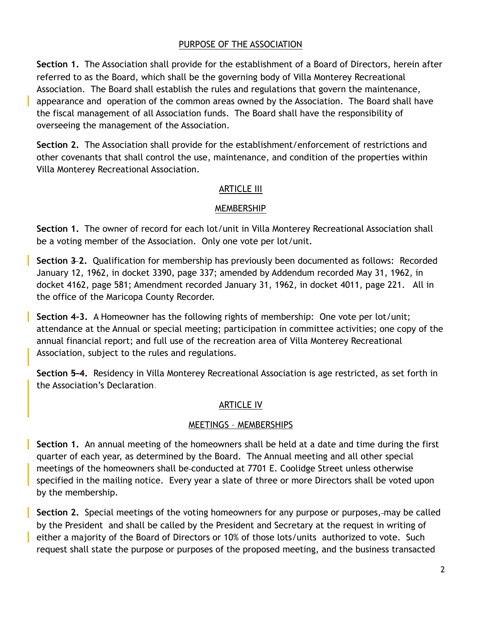## PURPOSE OF THE ASSOCIATION

**Section 1.** The Association shall provide for the establishment of a Board of Directors, herein after referred to as the Board, which shall be the governing body of Villa Monterey Recreational Association. The Board shall establish the rules and regulations that govern the maintenance, appearance and operation of the common areas owned by the Association. The Board shall have the fiscal management of all Association funds. The Board shall have the responsibility of overseeing the management of the Association.

**Section 2.** The Association shall provide for the establishment/enforcement of restrictions and other covenants that shall control the use, maintenance, and condition of the properties within Villa Monterey Recreational Association.

## ARTICLE III

## MEMBERSHIP

**Section 1.** The owner of record for each lot/unit in Villa Monterey Recreational Association shall be a voting member of the Association. Only one vote per lot/unit.

**Section 3-2.** Qualification for membership has previously been documented as follows: Recorded January 12, 1962, in docket 3390, page 337; amended by Addendum recorded May 31, 1962, in docket 4162, page 581; Amendment recorded January 31, 1962, in docket 4011, page 221. All in the office of the Maricopa County Recorder.

**Section 4-3.** A Homeowner has the following rights of membership: One vote per lot/unit; attendance at the Annual or special meeting; participation in committee activities; one copy of the annual financial report; and full use of the recreation area of Villa Monterey Recreational Association, subject to the rules and regulations.

**Section 5-4.** Residency in Villa Monterey Recreational Association is age restricted, as set forth in the Association's Declaration.

# ARTICLE IV

## MEETINGS – MEMBERSHIPS

**Section 1.** An annual meeting of the homeowners shall be held at a date and time during the first quarter of each year, as determined by the Board. The Annual meeting and all other special meetings of the homeowners shall be conducted at 7701 E. Coolidge Street unless otherwise specified in the mailing notice. Every year a slate of three or more Directors shall be voted upon by the membership.

**Section 2.** Special meetings of the voting homeowners for any purpose or purposes, may be called by the President and shall be called by the President and Secretary at the request in writing of either a majority of the Board of Directors or 10% of those lots/units authorized to vote. Such request shall state the purpose or purposes of the proposed meeting, and the business transacted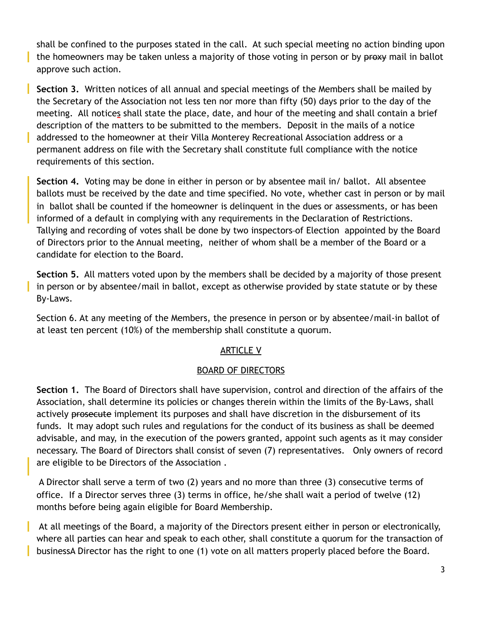shall be confined to the purposes stated in the call. At such special meeting no action binding upon the homeowners may be taken unless a majority of those voting in person or by proxy mail in ballot approve such action.

H

**Section 3.** Written notices of all annual and special meetings of the Members shall be mailed by the Secretary of the Association not less ten nor more than fifty (50) days prior to the day of the meeting. All notices shall state the place, date, and hour of the meeting and shall contain a brief description of the matters to be submitted to the members. Deposit in the mails of a notice addressed to the homeowner at their Villa Monterey Recreational Association address or a permanent address on file with the Secretary shall constitute full compliance with the notice requirements of this section.

**Section 4.** Voting may be done in either in person or by absentee mail in/ ballot. All absentee ballots must be received by the date and time specified. No vote, whether cast in person or by mail in ballot shall be counted if the homeowner is delinquent in the dues or assessments, or has been informed of a default in complying with any requirements in the Declaration of Restrictions. Tallying and recording of votes shall be done by two inspectors of Election appointed by the Board of Directors prior to the Annual meeting, neither of whom shall be a member of the Board or a candidate for election to the Board.

**Section 5.** All matters voted upon by the members shall be decided by a majority of those present in person or by absentee/mail in ballot, except as otherwise provided by state statute or by these By-Laws.

Section 6. At any meeting of the Members, the presence in person or by absentee/mail-in ballot of at least ten percent (10%) of the membership shall constitute a quorum.

# ARTICLE V

## BOARD OF DIRECTORS

**Section 1.** The Board of Directors shall have supervision, control and direction of the affairs of the Association, shall determine its policies or changes therein within the limits of the By-Laws, shall actively prosecute implement its purposes and shall have discretion in the disbursement of its funds. It may adopt such rules and regulations for the conduct of its business as shall be deemed advisable, and may, in the execution of the powers granted, appoint such agents as it may consider necessary. The Board of Directors shall consist of seven (7) representatives. Only owners of record are eligible to be Directors of the Association .

 A Director shall serve a term of two (2) years and no more than three (3) consecutive terms of office. If a Director serves three (3) terms in office, he/she shall wait a period of twelve (12) months before being again eligible for Board Membership.

 At all meetings of the Board, a majority of the Directors present either in person or electronically, where all parties can hear and speak to each other, shall constitute a quorum for the transaction of businessA Director has the right to one (1) vote on all matters properly placed before the Board.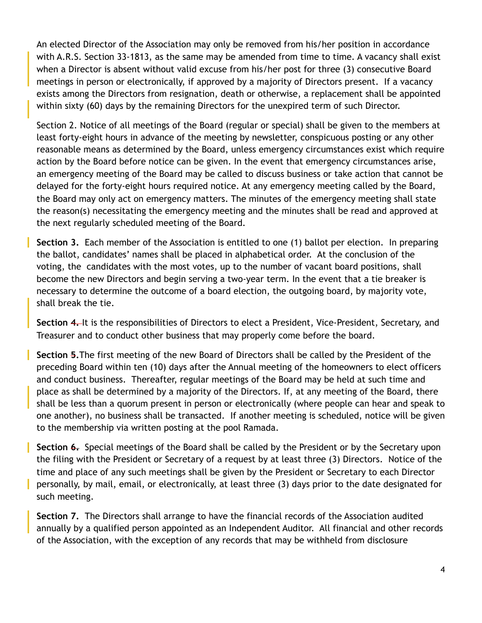An elected Director of the Association may only be removed from his/her position in accordance with A.R.S. Section 33-1813, as the same may be amended from time to time. A vacancy shall exist when a Director is absent without valid excuse from his/her post for three (3) consecutive Board meetings in person or electronically, if approved by a majority of Directors present. If a vacancy exists among the Directors from resignation, death or otherwise, a replacement shall be appointed within sixty (60) days by the remaining Directors for the unexpired term of such Director.

Section 2. Notice of all meetings of the Board (regular or special) shall be given to the members at least forty-eight hours in advance of the meeting by newsletter, conspicuous posting or any other reasonable means as determined by the Board, unless emergency circumstances exist which require action by the Board before notice can be given. In the event that emergency circumstances arise, an emergency meeting of the Board may be called to discuss business or take action that cannot be delayed for the forty-eight hours required notice. At any emergency meeting called by the Board, the Board may only act on emergency matters. The minutes of the emergency meeting shall state the reason(s) necessitating the emergency meeting and the minutes shall be read and approved at the next regularly scheduled meeting of the Board.

**Section 3.** Each member of the Association is entitled to one (1) ballot per election. In preparing the ballot, candidates' names shall be placed in alphabetical order. At the conclusion of the voting, the candidates with the most votes, up to the number of vacant board positions, shall become the new Directors and begin serving a two-year term. In the event that a tie breaker is necessary to determine the outcome of a board election, the outgoing board, by majority vote, shall break the tie.

**Section 4.** It is the responsibilities of Directors to elect a President, Vice-President, Secretary, and Treasurer and to conduct other business that may properly come before the board.

**Section 5.**The first meeting of the new Board of Directors shall be called by the President of the preceding Board within ten (10) days after the Annual meeting of the homeowners to elect officers and conduct business. Thereafter, regular meetings of the Board may be held at such time and place as shall be determined by a majority of the Directors. If, at any meeting of the Board, there shall be less than a quorum present in person or electronically (where people can hear and speak to one another), no business shall be transacted. If another meeting is scheduled, notice will be given to the membership via written posting at the pool Ramada.

**Section 6.** Special meetings of the Board shall be called by the President or by the Secretary upon the filing with the President or Secretary of a request by at least three (3) Directors. Notice of the time and place of any such meetings shall be given by the President or Secretary to each Director personally, by mail, email, or electronically, at least three (3) days prior to the date designated for such meeting.

**Section 7.** The Directors shall arrange to have the financial records of the Association audited annually by a qualified person appointed as an Independent Auditor. All financial and other records of the Association, with the exception of any records that may be withheld from disclosure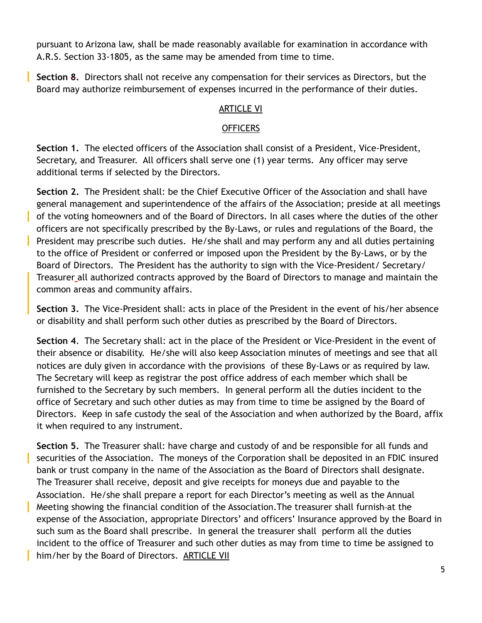pursuant to Arizona law, shall be made reasonably available for examination in accordance with A.R.S. Section 33-1805, as the same may be amended from time to time.

**Section 8.** Directors shall not receive any compensation for their services as Directors, but the Board may authorize reimbursement of expenses incurred in the performance of their duties.

## ARTICLE VI

## OFFICERS

**Section 1.** The elected officers of the Association shall consist of a President, Vice-President, Secretary, and Treasurer. All officers shall serve one (1) year terms. Any officer may serve additional terms if selected by the Directors.

**Section 2.** The President shall: be the Chief Executive Officer of the Association and shall have general management and superintendence of the affairs of the Association; preside at all meetings of the voting homeowners and of the Board of Directors. In all cases where the duties of the other officers are not specifically prescribed by the By-Laws, or rules and regulations of the Board, the President may prescribe such duties. He/she shall and may perform any and all duties pertaining to the office of President or conferred or imposed upon the President by the By-Laws, or by the Board of Directors. The President has the authority to sign with the Vice-President/ Secretary/ Treasurer all authorized contracts approved by the Board of Directors to manage and maintain the common areas and community affairs.

**Section 3.** The Vice-President shall: acts in place of the President in the event of his/her absence or disability and shall perform such other duties as prescribed by the Board of Directors.

**Section 4**. The Secretary shall: act in the place of the President or Vice-President in the event of their absence or disability. He/she will also keep Association minutes of meetings and see that all notices are duly given in accordance with the provisions of these By-Laws or as required by law. The Secretary will keep as registrar the post office address of each member which shall be furnished to the Secretary by such members. In general perform all the duties incident to the office of Secretary and such other duties as may from time to time be assigned by the Board of Directors. Keep in safe custody the seal of the Association and when authorized by the Board, affix it when required to any instrument.

**Section 5.** The Treasurer shall: have charge and custody of and be responsible for all funds and securities of the Association. The moneys of the Corporation shall be deposited in an FDIC insured bank or trust company in the name of the Association as the Board of Directors shall designate. The Treasurer shall receive, deposit and give receipts for moneys due and payable to the Association. He/she shall prepare a report for each Director's meeting as well as the Annual Meeting showing the financial condition of the Association.The treasurer shall furnish at the expense of the Association, appropriate Directors' and officers' Insurance approved by the Board in such sum as the Board shall prescribe. In general the treasurer shall perform all the duties incident to the office of Treasurer and such other duties as may from time to time be assigned to him/her by the Board of Directors. ARTICLE VII